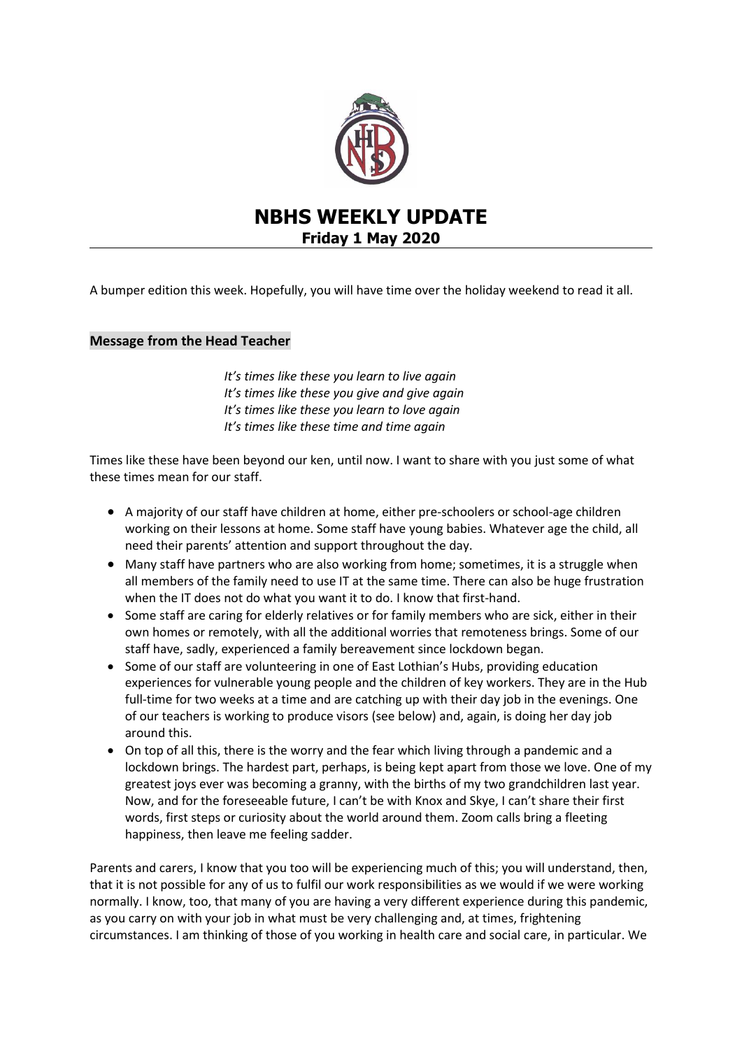

# **NBHS WEEKLY UPDATE Friday 1 May 2020**

A bumper edition this week. Hopefully, you will have time over the holiday weekend to read it all.

#### **Message from the Head Teacher**

*It's times like these you learn to live again It's times like these you give and give again It's times like these you learn to love again It's times like these time and time again*

Times like these have been beyond our ken, until now. I want to share with you just some of what these times mean for our staff.

- A majority of our staff have children at home, either pre-schoolers or school-age children working on their lessons at home. Some staff have young babies. Whatever age the child, all need their parents' attention and support throughout the day.
- Many staff have partners who are also working from home; sometimes, it is a struggle when all members of the family need to use IT at the same time. There can also be huge frustration when the IT does not do what you want it to do. I know that first-hand.
- Some staff are caring for elderly relatives or for family members who are sick, either in their own homes or remotely, with all the additional worries that remoteness brings. Some of our staff have, sadly, experienced a family bereavement since lockdown began.
- Some of our staff are volunteering in one of East Lothian's Hubs, providing education experiences for vulnerable young people and the children of key workers. They are in the Hub full-time for two weeks at a time and are catching up with their day job in the evenings. One of our teachers is working to produce visors (see below) and, again, is doing her day job around this.
- On top of all this, there is the worry and the fear which living through a pandemic and a lockdown brings. The hardest part, perhaps, is being kept apart from those we love. One of my greatest joys ever was becoming a granny, with the births of my two grandchildren last year. Now, and for the foreseeable future, I can't be with Knox and Skye, I can't share their first words, first steps or curiosity about the world around them. Zoom calls bring a fleeting happiness, then leave me feeling sadder.

Parents and carers, I know that you too will be experiencing much of this; you will understand, then, that it is not possible for any of us to fulfil our work responsibilities as we would if we were working normally. I know, too, that many of you are having a very different experience during this pandemic, as you carry on with your job in what must be very challenging and, at times, frightening circumstances. I am thinking of those of you working in health care and social care, in particular. We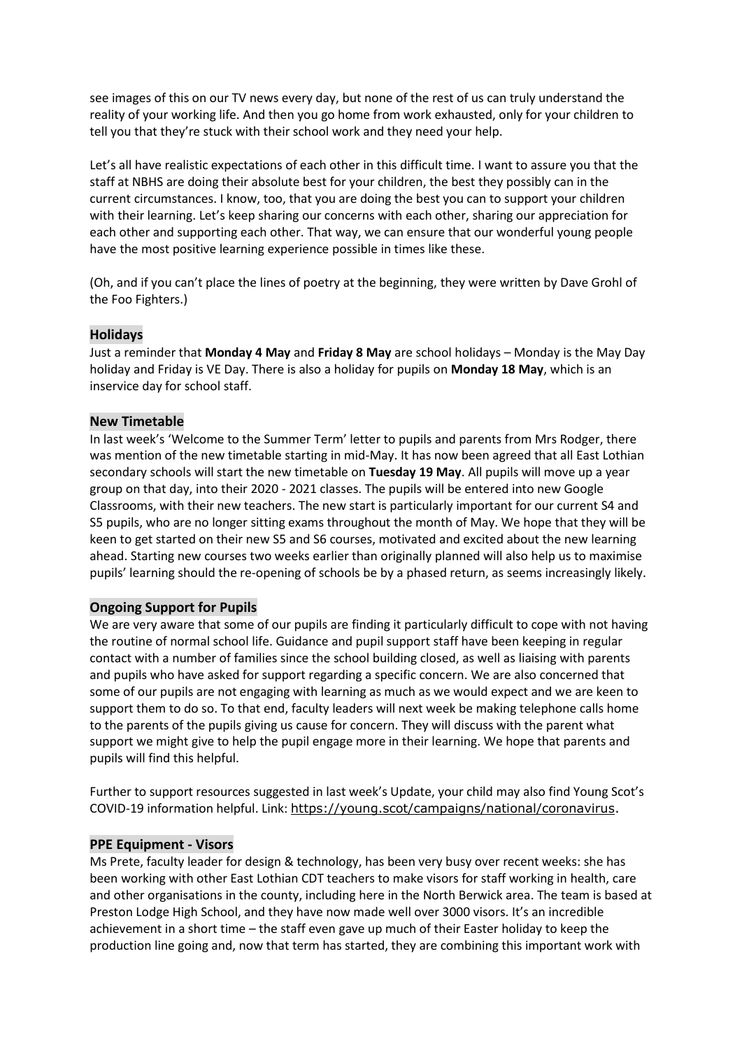see images of this on our TV news every day, but none of the rest of us can truly understand the reality of your working life. And then you go home from work exhausted, only for your children to tell you that they're stuck with their school work and they need your help.

Let's all have realistic expectations of each other in this difficult time. I want to assure you that the staff at NBHS are doing their absolute best for your children, the best they possibly can in the current circumstances. I know, too, that you are doing the best you can to support your children with their learning. Let's keep sharing our concerns with each other, sharing our appreciation for each other and supporting each other. That way, we can ensure that our wonderful young people have the most positive learning experience possible in times like these.

(Oh, and if you can't place the lines of poetry at the beginning, they were written by Dave Grohl of the Foo Fighters.)

## **Holidays**

Just a reminder that **Monday 4 May** and **Friday 8 May** are school holidays – Monday is the May Day holiday and Friday is VE Day. There is also a holiday for pupils on **Monday 18 May**, which is an inservice day for school staff.

## **New Timetable**

In last week's 'Welcome to the Summer Term' letter to pupils and parents from Mrs Rodger, there was mention of the new timetable starting in mid-May. It has now been agreed that all East Lothian secondary schools will start the new timetable on **Tuesday 19 May**. All pupils will move up a year group on that day, into their 2020 - 2021 classes. The pupils will be entered into new Google Classrooms, with their new teachers. The new start is particularly important for our current S4 and S5 pupils, who are no longer sitting exams throughout the month of May. We hope that they will be keen to get started on their new S5 and S6 courses, motivated and excited about the new learning ahead. Starting new courses two weeks earlier than originally planned will also help us to maximise pupils' learning should the re-opening of schools be by a phased return, as seems increasingly likely.

#### **Ongoing Support for Pupils**

We are very aware that some of our pupils are finding it particularly difficult to cope with not having the routine of normal school life. Guidance and pupil support staff have been keeping in regular contact with a number of families since the school building closed, as well as liaising with parents and pupils who have asked for support regarding a specific concern. We are also concerned that some of our pupils are not engaging with learning as much as we would expect and we are keen to support them to do so. To that end, faculty leaders will next week be making telephone calls home to the parents of the pupils giving us cause for concern. They will discuss with the parent what support we might give to help the pupil engage more in their learning. We hope that parents and pupils will find this helpful.

Further to support resources suggested in last week's Update, your child may also find Young Scot's COVID-19 information helpful. Link: [https://young.scot/campaigns/national/coronavirus.](https://young.scot/campaigns/national/coronavirus)

#### **PPE Equipment - Visors**

Ms Prete, faculty leader for design & technology, has been very busy over recent weeks: she has been working with other East Lothian CDT teachers to make visors for staff working in health, care and other organisations in the county, including here in the North Berwick area. The team is based at Preston Lodge High School, and they have now made well over 3000 visors. It's an incredible achievement in a short time – the staff even gave up much of their Easter holiday to keep the production line going and, now that term has started, they are combining this important work with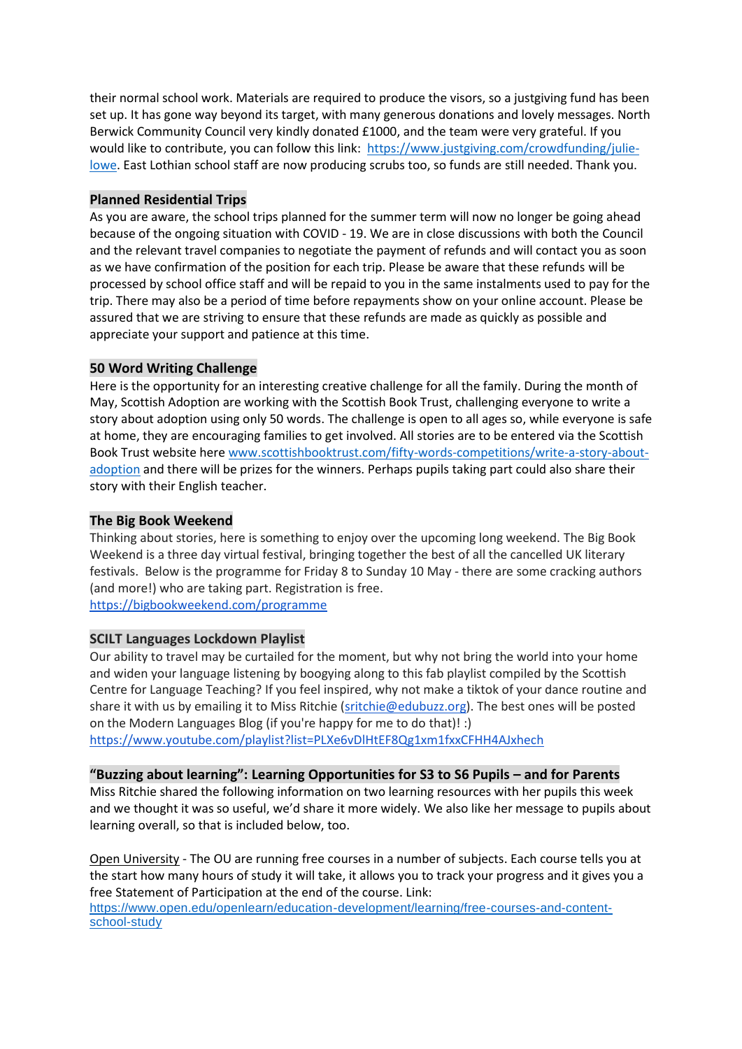their normal school work. Materials are required to produce the visors, so a justgiving fund has been set up. It has gone way beyond its target, with many generous donations and lovely messages. North Berwick Community Council very kindly donated £1000, and the team were very grateful. If you would like to contribute, you can follow this link: [https://www.justgiving.com/crowdfunding/julie](https://www.justgiving.com/crowdfunding/julie-lowe)[lowe.](https://www.justgiving.com/crowdfunding/julie-lowe) East Lothian school staff are now producing scrubs too, so funds are still needed. Thank you.

## **Planned Residential Trips**

As you are aware, the school trips planned for the summer term will now no longer be going ahead because of the ongoing situation with COVID - 19. We are in close discussions with both the Council and the relevant travel companies to negotiate the payment of refunds and will contact you as soon as we have confirmation of the position for each trip. Please be aware that these refunds will be processed by school office staff and will be repaid to you in the same instalments used to pay for the trip. There may also be a period of time before repayments show on your online account. Please be assured that we are striving to ensure that these refunds are made as quickly as possible and appreciate your support and patience at this time.

## **50 Word Writing Challenge**

Here is the opportunity for an interesting creative challenge for all the family. During the month of May, Scottish Adoption are working with the Scottish Book Trust, challenging everyone to write a story about adoption using only 50 words. The challenge is open to all ages so, while everyone is safe at home, they are encouraging families to get involved. All stories are to be entered via the Scottish Book Trust website here [www.scottishbooktrust.com/fifty-words-competitions/write-a-story-about](http://www.scottishbooktrust.com/fifty-words-competitions/write-a-story-about-adoption)[adoption](http://www.scottishbooktrust.com/fifty-words-competitions/write-a-story-about-adoption) and there will be prizes for the winners. Perhaps pupils taking part could also share their story with their English teacher.

## **The Big Book Weekend**

Thinking about stories, here is something to enjoy over the upcoming long weekend. The Big Book Weekend is a three day virtual festival, bringing together the best of all the cancelled UK literary festivals. Below is the programme for Friday 8 to Sunday 10 May - there are some cracking authors (and more!) who are taking part. Registration is free. <https://bigbookweekend.com/programme>

## **SCILT Languages Lockdown Playlist**

Our ability to travel may be curtailed for the moment, but why not bring the world into your home and widen your language listening by boogying along to this fab playlist compiled by the Scottish Centre for Language Teaching? If you feel inspired, why not make a tiktok of your dance routine and share it with us by emailing it to Miss Ritchie [\(sritchie@edubuzz.org\)](mailto:sritchie@edubuzz.org). The best ones will be posted on the Modern Languages Blog (if you're happy for me to do that)! :) <https://www.youtube.com/playlist?list=PLXe6vDlHtEF8Qg1xm1fxxCFHH4AJxhech>

# **"Buzzing about learning": Learning Opportunities for S3 to S6 Pupils – and for Parents**

Miss Ritchie shared the following information on two learning resources with her pupils this week and we thought it was so useful, we'd share it more widely. We also like her message to pupils about learning overall, so that is included below, too.

Open University - The OU are running free courses in a number of subjects. Each course tells you at the start how many hours of study it will take, it allows you t[o track your progress and it gives you a](https://www.open.edu/openlearn/education-development/learning/free-courses-and-content-school-study)  free Statement of Participation at the end of the course. Link:

[https://www.open.edu/openlearn/education-development/learning/free-courses-and-content](https://www.open.edu/openlearn/education-development/learning/free-courses-and-content-school-study)[school-study](https://www.open.edu/openlearn/education-development/learning/free-courses-and-content-school-study)